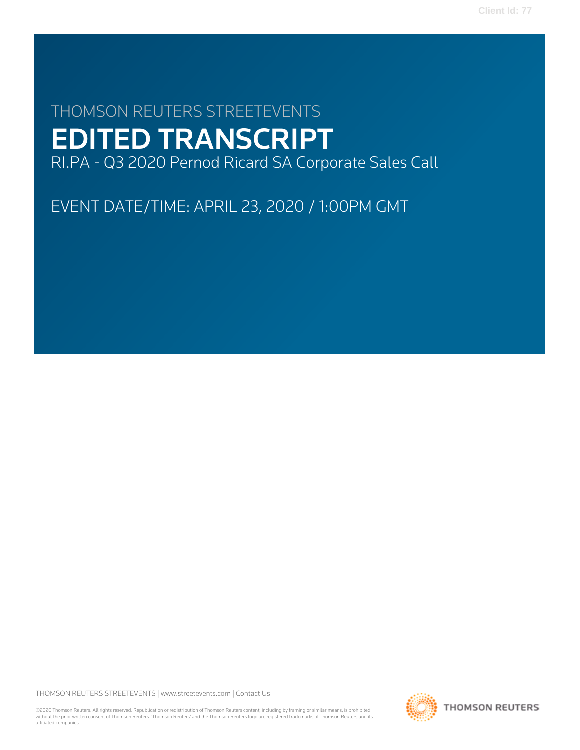# THOMSON REUTERS STREETEVENTS EDITED TRANSCRIPT RI.PA - Q3 2020 Pernod Ricard SA Corporate Sales Call

EVENT DATE/TIME: APRIL 23, 2020 / 1:00PM GMT

THOMSON REUTERS STREETEVENTS | [www.streetevents.com](http://www.streetevents.com) | [Contact Us](http://www010.streetevents.com/contact.asp)

©2020 Thomson Reuters. All rights reserved. Republication or redistribution of Thomson Reuters content, including by framing or similar means, is prohibited without the prior written consent of Thomson Reuters. 'Thomson Reuters' and the Thomson Reuters logo are registered trademarks of Thomson Reuters and its affiliated companies.

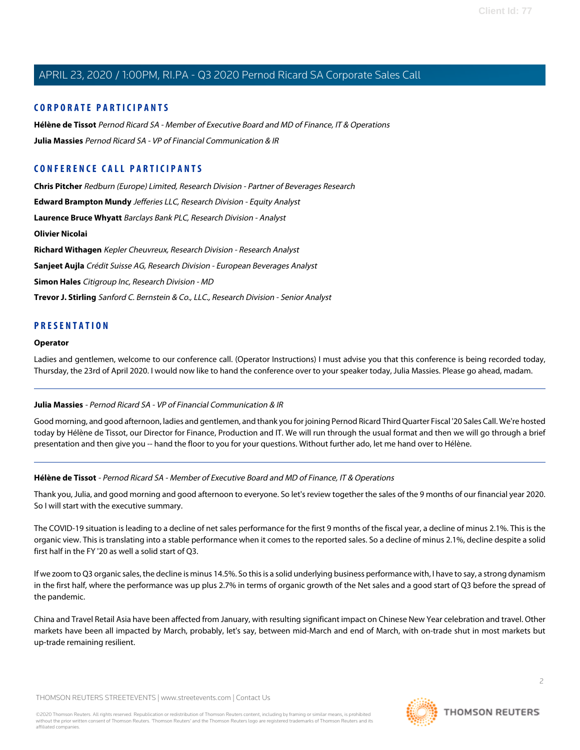## **CORPORATE PARTICIPANTS**

**[Hélène de Tissot](#page-1-0)** Pernod Ricard SA - Member of Executive Board and MD of Finance, IT & Operations **[Julia Massies](#page-1-1)** Pernod Ricard SA - VP of Financial Communication & IR

## **CONFERENCE CALL PARTICIPANTS**

**[Chris Pitcher](#page-11-0)** Redburn (Europe) Limited, Research Division - Partner of Beverages Research **[Edward Brampton Mundy](#page-4-0)** Jefferies LLC, Research Division - Equity Analyst **[Laurence Bruce Whyatt](#page-9-0)** Barclays Bank PLC, Research Division - Analyst **[Olivier Nicolai](#page-6-0) [Richard Withagen](#page-11-1)** Kepler Cheuvreux, Research Division - Research Analyst **[Sanjeet Aujla](#page-7-0)** Crédit Suisse AG, Research Division - European Beverages Analyst **[Simon Hales](#page-8-0)** Citigroup Inc, Research Division - MD **[Trevor J. Stirling](#page-10-0)** Sanford C. Bernstein & Co., LLC., Research Division - Senior Analyst

## **PRESENTATION**

#### **Operator**

<span id="page-1-1"></span>Ladies and gentlemen, welcome to our conference call. (Operator Instructions) I must advise you that this conference is being recorded today, Thursday, the 23rd of April 2020. I would now like to hand the conference over to your speaker today, Julia Massies. Please go ahead, madam.

#### **Julia Massies** - Pernod Ricard SA - VP of Financial Communication & IR

<span id="page-1-0"></span>Good morning, and good afternoon, ladies and gentlemen, and thank you for joining Pernod Ricard Third Quarter Fiscal '20 Sales Call. We're hosted today by Hélène de Tissot, our Director for Finance, Production and IT. We will run through the usual format and then we will go through a brief presentation and then give you -- hand the floor to you for your questions. Without further ado, let me hand over to Hélène.

#### **Hélène de Tissot** - Pernod Ricard SA - Member of Executive Board and MD of Finance, IT & Operations

Thank you, Julia, and good morning and good afternoon to everyone. So let's review together the sales of the 9 months of our financial year 2020. So I will start with the executive summary.

The COVID-19 situation is leading to a decline of net sales performance for the first 9 months of the fiscal year, a decline of minus 2.1%. This is the organic view. This is translating into a stable performance when it comes to the reported sales. So a decline of minus 2.1%, decline despite a solid first half in the FY '20 as well a solid start of Q3.

If we zoom to Q3 organic sales, the decline is minus 14.5%. So this is a solid underlying business performance with, I have to say, a strong dynamism in the first half, where the performance was up plus 2.7% in terms of organic growth of the Net sales and a good start of Q3 before the spread of the pandemic.

China and Travel Retail Asia have been affected from January, with resulting significant impact on Chinese New Year celebration and travel. Other markets have been all impacted by March, probably, let's say, between mid-March and end of March, with on-trade shut in most markets but up-trade remaining resilient.

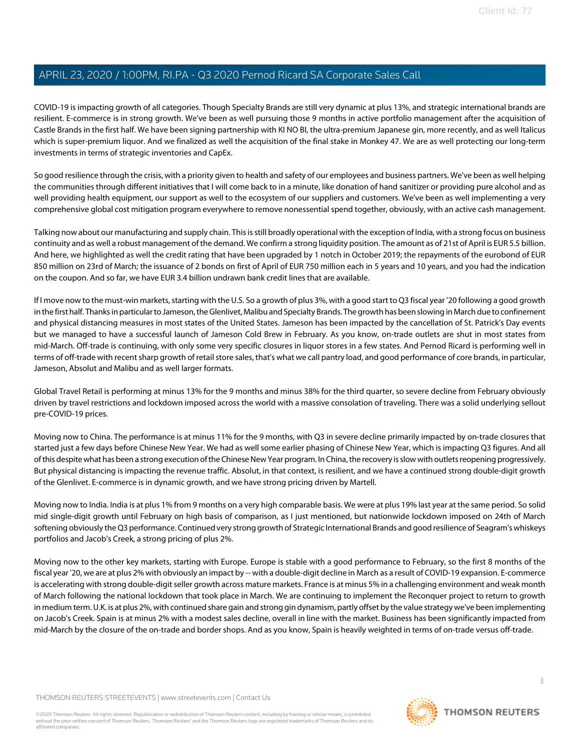COVID-19 is impacting growth of all categories. Though Specialty Brands are still very dynamic at plus 13%, and strategic international brands are resilient. E-commerce is in strong growth. We've been as well pursuing those 9 months in active portfolio management after the acquisition of Castle Brands in the first half. We have been signing partnership with KI NO BI, the ultra-premium Japanese gin, more recently, and as well Italicus which is super-premium liquor. And we finalized as well the acquisition of the final stake in Monkey 47. We are as well protecting our long-term investments in terms of strategic inventories and CapEx.

So good resilience through the crisis, with a priority given to health and safety of our employees and business partners. We've been as well helping the communities through different initiatives that I will come back to in a minute, like donation of hand sanitizer or providing pure alcohol and as well providing health equipment, our support as well to the ecosystem of our suppliers and customers. We've been as well implementing a very comprehensive global cost mitigation program everywhere to remove nonessential spend together, obviously, with an active cash management.

Talking now about our manufacturing and supply chain. This is still broadly operational with the exception of India, with a strong focus on business continuity and as well a robust management of the demand. We confirm a strong liquidity position. The amount as of 21st of April is EUR 5.5 billion. And here, we highlighted as well the credit rating that have been upgraded by 1 notch in October 2019; the repayments of the eurobond of EUR 850 million on 23rd of March; the issuance of 2 bonds on first of April of EUR 750 million each in 5 years and 10 years, and you had the indication on the coupon. And so far, we have EUR 3.4 billion undrawn bank credit lines that are available.

If I move now to the must-win markets, starting with the U.S. So a growth of plus 3%, with a good start to Q3 fiscal year '20 following a good growth in the first half. Thanks in particular to Jameson, the Glenlivet, Malibu and Specialty Brands. The growth has been slowing in March due to confinement and physical distancing measures in most states of the United States. Jameson has been impacted by the cancellation of St. Patrick's Day events but we managed to have a successful launch of Jameson Cold Brew in February. As you know, on-trade outlets are shut in most states from mid-March. Off-trade is continuing, with only some very specific closures in liquor stores in a few states. And Pernod Ricard is performing well in terms of off-trade with recent sharp growth of retail store sales, that's what we call pantry load, and good performance of core brands, in particular, Jameson, Absolut and Malibu and as well larger formats.

Global Travel Retail is performing at minus 13% for the 9 months and minus 38% for the third quarter, so severe decline from February obviously driven by travel restrictions and lockdown imposed across the world with a massive consolation of traveling. There was a solid underlying sellout pre-COVID-19 prices.

Moving now to China. The performance is at minus 11% for the 9 months, with Q3 in severe decline primarily impacted by on-trade closures that started just a few days before Chinese New Year. We had as well some earlier phasing of Chinese New Year, which is impacting Q3 figures. And all of this despite what has been a strong execution of the Chinese New Year program. In China, the recovery is slow with outlets reopening progressively. But physical distancing is impacting the revenue traffic. Absolut, in that context, is resilient, and we have a continued strong double-digit growth of the Glenlivet. E-commerce is in dynamic growth, and we have strong pricing driven by Martell.

Moving now to India. India is at plus 1% from 9 months on a very high comparable basis. We were at plus 19% last year at the same period. So solid mid single-digit growth until February on high basis of comparison, as I just mentioned, but nationwide lockdown imposed on 24th of March softening obviously the Q3 performance. Continued very strong growth of Strategic International Brands and good resilience of Seagram's whiskeys portfolios and Jacob's Creek, a strong pricing of plus 2%.

Moving now to the other key markets, starting with Europe. Europe is stable with a good performance to February, so the first 8 months of the fiscal year '20, we are at plus 2% with obviously an impact by -- with a double-digit decline in March as a result of COVID-19 expansion. E-commerce is accelerating with strong double-digit seller growth across mature markets. France is at minus 5% in a challenging environment and weak month of March following the national lockdown that took place in March. We are continuing to implement the Reconquer project to return to growth in medium term. U.K. is at plus 2%, with continued share gain and strong gin dynamism, partly offset by the value strategy we've been implementing on Jacob's Creek. Spain is at minus 2% with a modest sales decline, overall in line with the market. Business has been significantly impacted from mid-March by the closure of the on-trade and border shops. And as you know, Spain is heavily weighted in terms of on-trade versus off-trade.

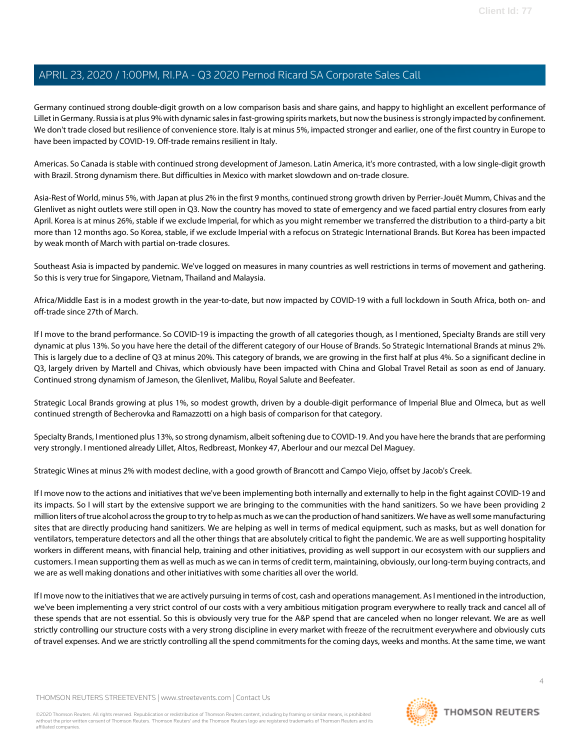Germany continued strong double-digit growth on a low comparison basis and share gains, and happy to highlight an excellent performance of Lillet in Germany. Russia is at plus 9% with dynamic sales in fast-growing spirits markets, but now the business is strongly impacted by confinement. We don't trade closed but resilience of convenience store. Italy is at minus 5%, impacted stronger and earlier, one of the first country in Europe to have been impacted by COVID-19. Off-trade remains resilient in Italy.

Americas. So Canada is stable with continued strong development of Jameson. Latin America, it's more contrasted, with a low single-digit growth with Brazil. Strong dynamism there. But difficulties in Mexico with market slowdown and on-trade closure.

Asia-Rest of World, minus 5%, with Japan at plus 2% in the first 9 months, continued strong growth driven by Perrier-Jouët Mumm, Chivas and the Glenlivet as night outlets were still open in Q3. Now the country has moved to state of emergency and we faced partial entry closures from early April. Korea is at minus 26%, stable if we exclude Imperial, for which as you might remember we transferred the distribution to a third-party a bit more than 12 months ago. So Korea, stable, if we exclude Imperial with a refocus on Strategic International Brands. But Korea has been impacted by weak month of March with partial on-trade closures.

Southeast Asia is impacted by pandemic. We've logged on measures in many countries as well restrictions in terms of movement and gathering. So this is very true for Singapore, Vietnam, Thailand and Malaysia.

Africa/Middle East is in a modest growth in the year-to-date, but now impacted by COVID-19 with a full lockdown in South Africa, both on- and off-trade since 27th of March.

If I move to the brand performance. So COVID-19 is impacting the growth of all categories though, as I mentioned, Specialty Brands are still very dynamic at plus 13%. So you have here the detail of the different category of our House of Brands. So Strategic International Brands at minus 2%. This is largely due to a decline of Q3 at minus 20%. This category of brands, we are growing in the first half at plus 4%. So a significant decline in Q3, largely driven by Martell and Chivas, which obviously have been impacted with China and Global Travel Retail as soon as end of January. Continued strong dynamism of Jameson, the Glenlivet, Malibu, Royal Salute and Beefeater.

Strategic Local Brands growing at plus 1%, so modest growth, driven by a double-digit performance of Imperial Blue and Olmeca, but as well continued strength of Becherovka and Ramazzotti on a high basis of comparison for that category.

Specialty Brands, I mentioned plus 13%, so strong dynamism, albeit softening due to COVID-19. And you have here the brands that are performing very strongly. I mentioned already Lillet, Altos, Redbreast, Monkey 47, Aberlour and our mezcal Del Maguey.

Strategic Wines at minus 2% with modest decline, with a good growth of Brancott and Campo Viejo, offset by Jacob's Creek.

If I move now to the actions and initiatives that we've been implementing both internally and externally to help in the fight against COVID-19 and its impacts. So I will start by the extensive support we are bringing to the communities with the hand sanitizers. So we have been providing 2 million liters of true alcohol across the group to try to help as much as we can the production of hand sanitizers. We have as well some manufacturing sites that are directly producing hand sanitizers. We are helping as well in terms of medical equipment, such as masks, but as well donation for ventilators, temperature detectors and all the other things that are absolutely critical to fight the pandemic. We are as well supporting hospitality workers in different means, with financial help, training and other initiatives, providing as well support in our ecosystem with our suppliers and customers. I mean supporting them as well as much as we can in terms of credit term, maintaining, obviously, our long-term buying contracts, and we are as well making donations and other initiatives with some charities all over the world.

If I move now to the initiatives that we are actively pursuing in terms of cost, cash and operations management. As I mentioned in the introduction, we've been implementing a very strict control of our costs with a very ambitious mitigation program everywhere to really track and cancel all of these spends that are not essential. So this is obviously very true for the A&P spend that are canceled when no longer relevant. We are as well strictly controlling our structure costs with a very strong discipline in every market with freeze of the recruitment everywhere and obviously cuts of travel expenses. And we are strictly controlling all the spend commitments for the coming days, weeks and months. At the same time, we want

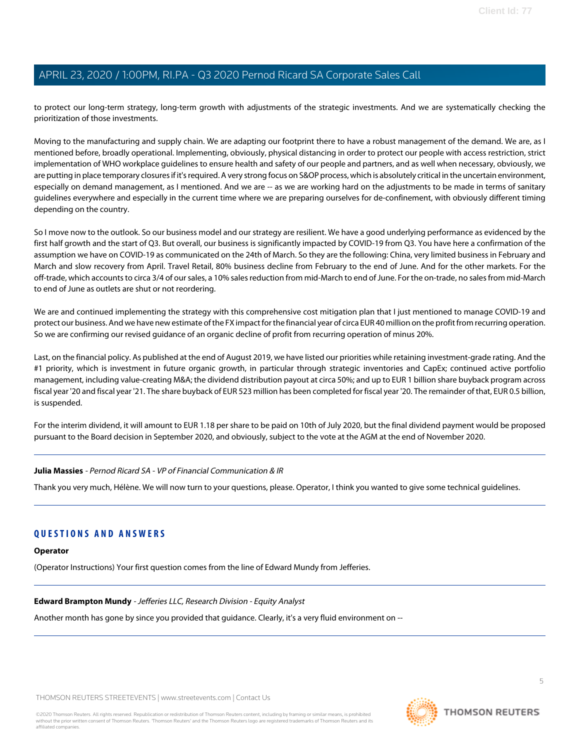to protect our long-term strategy, long-term growth with adjustments of the strategic investments. And we are systematically checking the prioritization of those investments.

Moving to the manufacturing and supply chain. We are adapting our footprint there to have a robust management of the demand. We are, as I mentioned before, broadly operational. Implementing, obviously, physical distancing in order to protect our people with access restriction, strict implementation of WHO workplace guidelines to ensure health and safety of our people and partners, and as well when necessary, obviously, we are putting in place temporary closures if it's required. A very strong focus on S&OP process, which is absolutely critical in the uncertain environment, especially on demand management, as I mentioned. And we are -- as we are working hard on the adjustments to be made in terms of sanitary guidelines everywhere and especially in the current time where we are preparing ourselves for de-confinement, with obviously different timing depending on the country.

So I move now to the outlook. So our business model and our strategy are resilient. We have a good underlying performance as evidenced by the first half growth and the start of Q3. But overall, our business is significantly impacted by COVID-19 from Q3. You have here a confirmation of the assumption we have on COVID-19 as communicated on the 24th of March. So they are the following: China, very limited business in February and March and slow recovery from April. Travel Retail, 80% business decline from February to the end of June. And for the other markets. For the off-trade, which accounts to circa 3/4 of our sales, a 10% sales reduction from mid-March to end of June. For the on-trade, no sales from mid-March to end of June as outlets are shut or not reordering.

We are and continued implementing the strategy with this comprehensive cost mitigation plan that I just mentioned to manage COVID-19 and protect our business. And we have new estimate of the FX impact for the financial year of circa EUR 40 million on the profit from recurring operation. So we are confirming our revised guidance of an organic decline of profit from recurring operation of minus 20%.

Last, on the financial policy. As published at the end of August 2019, we have listed our priorities while retaining investment-grade rating. And the #1 priority, which is investment in future organic growth, in particular through strategic inventories and CapEx; continued active portfolio management, including value-creating M&A; the dividend distribution payout at circa 50%; and up to EUR 1 billion share buyback program across fiscal year '20 and fiscal year '21. The share buyback of EUR 523 million has been completed for fiscal year '20. The remainder of that, EUR 0.5 billion, is suspended.

For the interim dividend, it will amount to EUR 1.18 per share to be paid on 10th of July 2020, but the final dividend payment would be proposed pursuant to the Board decision in September 2020, and obviously, subject to the vote at the AGM at the end of November 2020.

#### **Julia Massies** - Pernod Ricard SA - VP of Financial Communication & IR

Thank you very much, Hélène. We will now turn to your questions, please. Operator, I think you wanted to give some technical guidelines.

## <span id="page-4-0"></span>**QUESTIONS AND ANSWERS**

#### **Operator**

(Operator Instructions) Your first question comes from the line of Edward Mundy from Jefferies.

#### **Edward Brampton Mundy** - Jefferies LLC, Research Division - Equity Analyst

Another month has gone by since you provided that guidance. Clearly, it's a very fluid environment on --

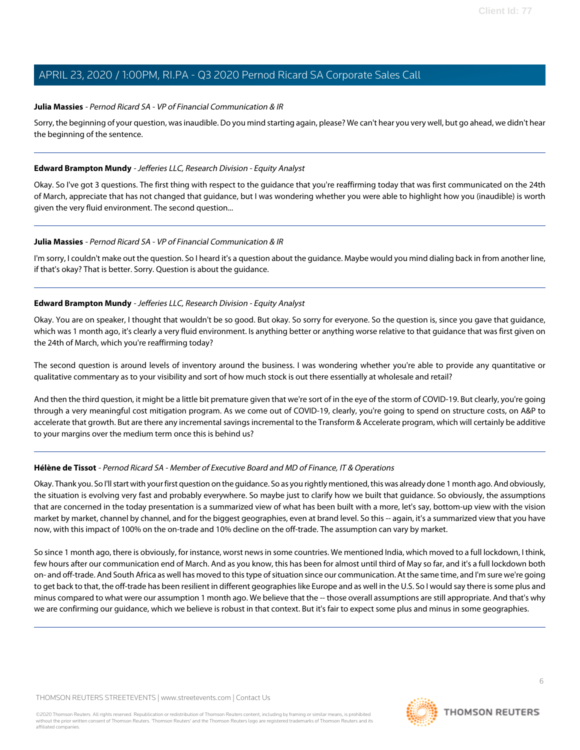### **Julia Massies** - Pernod Ricard SA - VP of Financial Communication & IR

Sorry, the beginning of your question, was inaudible. Do you mind starting again, please? We can't hear you very well, but go ahead, we didn't hear the beginning of the sentence.

#### **Edward Brampton Mundy** - Jefferies LLC, Research Division - Equity Analyst

Okay. So I've got 3 questions. The first thing with respect to the guidance that you're reaffirming today that was first communicated on the 24th of March, appreciate that has not changed that guidance, but I was wondering whether you were able to highlight how you (inaudible) is worth given the very fluid environment. The second question...

#### **Julia Massies** - Pernod Ricard SA - VP of Financial Communication & IR

I'm sorry, I couldn't make out the question. So I heard it's a question about the guidance. Maybe would you mind dialing back in from another line, if that's okay? That is better. Sorry. Question is about the guidance.

### **Edward Brampton Mundy** - Jefferies LLC, Research Division - Equity Analyst

Okay. You are on speaker, I thought that wouldn't be so good. But okay. So sorry for everyone. So the question is, since you gave that guidance, which was 1 month ago, it's clearly a very fluid environment. Is anything better or anything worse relative to that guidance that was first given on the 24th of March, which you're reaffirming today?

The second question is around levels of inventory around the business. I was wondering whether you're able to provide any quantitative or qualitative commentary as to your visibility and sort of how much stock is out there essentially at wholesale and retail?

And then the third question, it might be a little bit premature given that we're sort of in the eye of the storm of COVID-19. But clearly, you're going through a very meaningful cost mitigation program. As we come out of COVID-19, clearly, you're going to spend on structure costs, on A&P to accelerate that growth. But are there any incremental savings incremental to the Transform & Accelerate program, which will certainly be additive to your margins over the medium term once this is behind us?

## **Hélène de Tissot** - Pernod Ricard SA - Member of Executive Board and MD of Finance, IT & Operations

Okay. Thank you. So I'll start with your first question on the guidance. So as you rightly mentioned, this was already done 1 month ago. And obviously, the situation is evolving very fast and probably everywhere. So maybe just to clarify how we built that guidance. So obviously, the assumptions that are concerned in the today presentation is a summarized view of what has been built with a more, let's say, bottom-up view with the vision market by market, channel by channel, and for the biggest geographies, even at brand level. So this -- again, it's a summarized view that you have now, with this impact of 100% on the on-trade and 10% decline on the off-trade. The assumption can vary by market.

So since 1 month ago, there is obviously, for instance, worst news in some countries. We mentioned India, which moved to a full lockdown, I think, few hours after our communication end of March. And as you know, this has been for almost until third of May so far, and it's a full lockdown both on- and off-trade. And South Africa as well has moved to this type of situation since our communication. At the same time, and I'm sure we're going to get back to that, the off-trade has been resilient in different geographies like Europe and as well in the U.S. So I would say there is some plus and minus compared to what were our assumption 1 month ago. We believe that the -- those overall assumptions are still appropriate. And that's why we are confirming our guidance, which we believe is robust in that context. But it's fair to expect some plus and minus in some geographies.

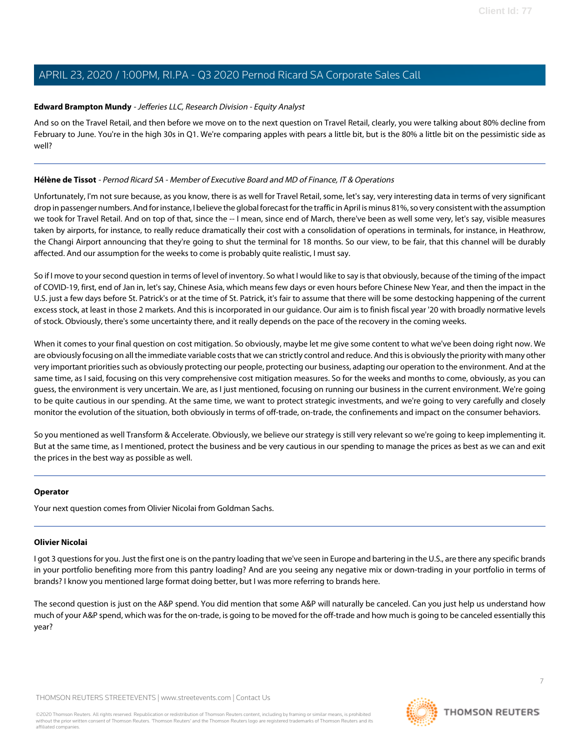## **Edward Brampton Mundy** - Jefferies LLC, Research Division - Equity Analyst

And so on the Travel Retail, and then before we move on to the next question on Travel Retail, clearly, you were talking about 80% decline from February to June. You're in the high 30s in Q1. We're comparing apples with pears a little bit, but is the 80% a little bit on the pessimistic side as well?

### **Hélène de Tissot** - Pernod Ricard SA - Member of Executive Board and MD of Finance, IT & Operations

Unfortunately, I'm not sure because, as you know, there is as well for Travel Retail, some, let's say, very interesting data in terms of very significant drop in passenger numbers. And for instance, I believe the global forecast for the traffic in April is minus 81%, so very consistent with the assumption we took for Travel Retail. And on top of that, since the -- I mean, since end of March, there've been as well some very, let's say, visible measures taken by airports, for instance, to really reduce dramatically their cost with a consolidation of operations in terminals, for instance, in Heathrow, the Changi Airport announcing that they're going to shut the terminal for 18 months. So our view, to be fair, that this channel will be durably affected. And our assumption for the weeks to come is probably quite realistic, I must say.

So if I move to your second question in terms of level of inventory. So what I would like to say is that obviously, because of the timing of the impact of COVID-19, first, end of Jan in, let's say, Chinese Asia, which means few days or even hours before Chinese New Year, and then the impact in the U.S. just a few days before St. Patrick's or at the time of St. Patrick, it's fair to assume that there will be some destocking happening of the current excess stock, at least in those 2 markets. And this is incorporated in our guidance. Our aim is to finish fiscal year '20 with broadly normative levels of stock. Obviously, there's some uncertainty there, and it really depends on the pace of the recovery in the coming weeks.

When it comes to your final question on cost mitigation. So obviously, maybe let me give some content to what we've been doing right now. We are obviously focusing on all the immediate variable costs that we can strictly control and reduce. And this is obviously the priority with many other very important priorities such as obviously protecting our people, protecting our business, adapting our operation to the environment. And at the same time, as I said, focusing on this very comprehensive cost mitigation measures. So for the weeks and months to come, obviously, as you can guess, the environment is very uncertain. We are, as I just mentioned, focusing on running our business in the current environment. We're going to be quite cautious in our spending. At the same time, we want to protect strategic investments, and we're going to very carefully and closely monitor the evolution of the situation, both obviously in terms of off-trade, on-trade, the confinements and impact on the consumer behaviors.

So you mentioned as well Transform & Accelerate. Obviously, we believe our strategy is still very relevant so we're going to keep implementing it. But at the same time, as I mentioned, protect the business and be very cautious in our spending to manage the prices as best as we can and exit the prices in the best way as possible as well.

#### <span id="page-6-0"></span>**Operator**

Your next question comes from Olivier Nicolai from Goldman Sachs.

#### **Olivier Nicolai**

I got 3 questions for you. Just the first one is on the pantry loading that we've seen in Europe and bartering in the U.S., are there any specific brands in your portfolio benefiting more from this pantry loading? And are you seeing any negative mix or down-trading in your portfolio in terms of brands? I know you mentioned large format doing better, but I was more referring to brands here.

The second question is just on the A&P spend. You did mention that some A&P will naturally be canceled. Can you just help us understand how much of your A&P spend, which was for the on-trade, is going to be moved for the off-trade and how much is going to be canceled essentially this year?

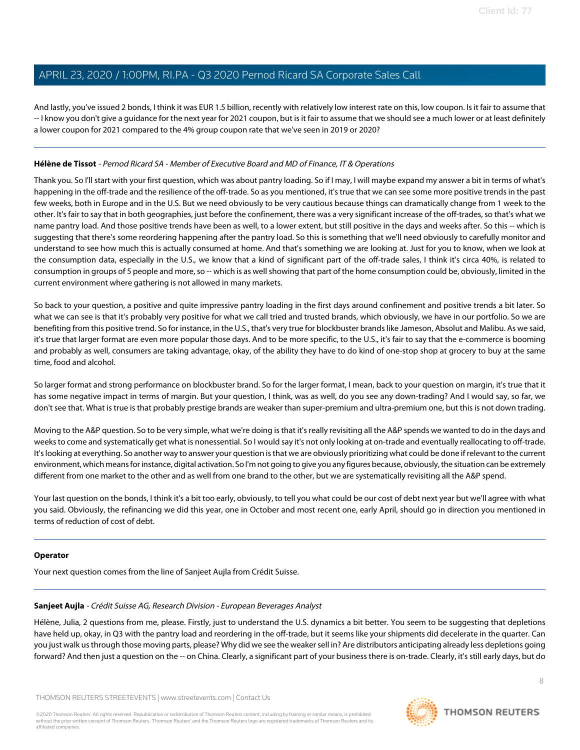And lastly, you've issued 2 bonds, I think it was EUR 1.5 billion, recently with relatively low interest rate on this, low coupon. Is it fair to assume that -- I know you don't give a guidance for the next year for 2021 coupon, but is it fair to assume that we should see a much lower or at least definitely a lower coupon for 2021 compared to the 4% group coupon rate that we've seen in 2019 or 2020?

## **Hélène de Tissot** - Pernod Ricard SA - Member of Executive Board and MD of Finance, IT & Operations

Thank you. So I'll start with your first question, which was about pantry loading. So if I may, I will maybe expand my answer a bit in terms of what's happening in the off-trade and the resilience of the off-trade. So as you mentioned, it's true that we can see some more positive trends in the past few weeks, both in Europe and in the U.S. But we need obviously to be very cautious because things can dramatically change from 1 week to the other. It's fair to say that in both geographies, just before the confinement, there was a very significant increase of the off-trades, so that's what we name pantry load. And those positive trends have been as well, to a lower extent, but still positive in the days and weeks after. So this -- which is suggesting that there's some reordering happening after the pantry load. So this is something that we'll need obviously to carefully monitor and understand to see how much this is actually consumed at home. And that's something we are looking at. Just for you to know, when we look at the consumption data, especially in the U.S., we know that a kind of significant part of the off-trade sales, I think it's circa 40%, is related to consumption in groups of 5 people and more, so -- which is as well showing that part of the home consumption could be, obviously, limited in the current environment where gathering is not allowed in many markets.

So back to your question, a positive and quite impressive pantry loading in the first days around confinement and positive trends a bit later. So what we can see is that it's probably very positive for what we call tried and trusted brands, which obviously, we have in our portfolio. So we are benefiting from this positive trend. So for instance, in the U.S., that's very true for blockbuster brands like Jameson, Absolut and Malibu. As we said, it's true that larger format are even more popular those days. And to be more specific, to the U.S., it's fair to say that the e-commerce is booming and probably as well, consumers are taking advantage, okay, of the ability they have to do kind of one-stop shop at grocery to buy at the same time, food and alcohol.

So larger format and strong performance on blockbuster brand. So for the larger format, I mean, back to your question on margin, it's true that it has some negative impact in terms of margin. But your question, I think, was as well, do you see any down-trading? And I would say, so far, we don't see that. What is true is that probably prestige brands are weaker than super-premium and ultra-premium one, but this is not down trading.

Moving to the A&P question. So to be very simple, what we're doing is that it's really revisiting all the A&P spends we wanted to do in the days and weeks to come and systematically get what is nonessential. So I would say it's not only looking at on-trade and eventually reallocating to off-trade. It's looking at everything. So another way to answer your question is that we are obviously prioritizing what could be done if relevant to the current environment, which means for instance, digital activation. So I'm not going to give you any figures because, obviously, the situation can be extremely different from one market to the other and as well from one brand to the other, but we are systematically revisiting all the A&P spend.

Your last question on the bonds, I think it's a bit too early, obviously, to tell you what could be our cost of debt next year but we'll agree with what you said. Obviously, the refinancing we did this year, one in October and most recent one, early April, should go in direction you mentioned in terms of reduction of cost of debt.

#### <span id="page-7-0"></span>**Operator**

Your next question comes from the line of Sanjeet Aujla from Crédit Suisse.

#### **Sanjeet Aujla** - Crédit Suisse AG, Research Division - European Beverages Analyst

Hélène, Julia, 2 questions from me, please. Firstly, just to understand the U.S. dynamics a bit better. You seem to be suggesting that depletions have held up, okay, in Q3 with the pantry load and reordering in the off-trade, but it seems like your shipments did decelerate in the quarter. Can you just walk us through those moving parts, please? Why did we see the weaker sell in? Are distributors anticipating already less depletions going forward? And then just a question on the -- on China. Clearly, a significant part of your business there is on-trade. Clearly, it's still early days, but do

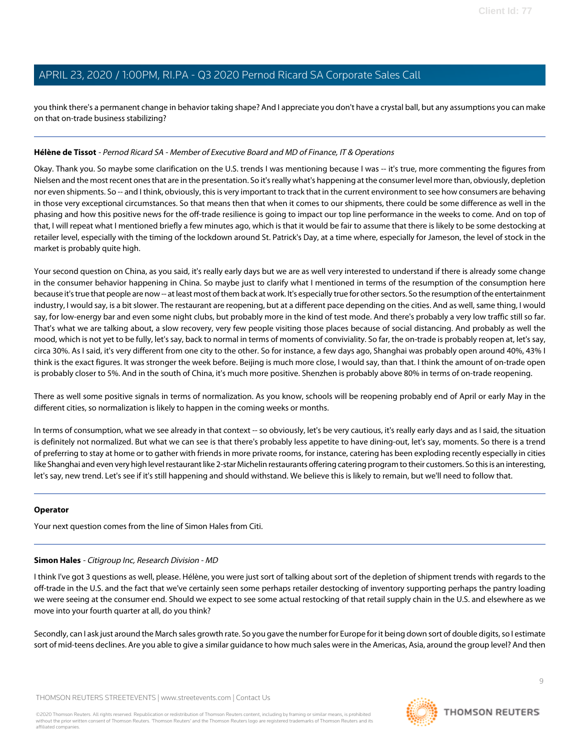you think there's a permanent change in behavior taking shape? And I appreciate you don't have a crystal ball, but any assumptions you can make on that on-trade business stabilizing?

#### **Hélène de Tissot** - Pernod Ricard SA - Member of Executive Board and MD of Finance, IT & Operations

Okay. Thank you. So maybe some clarification on the U.S. trends I was mentioning because I was -- it's true, more commenting the figures from Nielsen and the most recent ones that are in the presentation. So it's really what's happening at the consumer level more than, obviously, depletion nor even shipments. So -- and I think, obviously, this is very important to track that in the current environment to see how consumers are behaving in those very exceptional circumstances. So that means then that when it comes to our shipments, there could be some difference as well in the phasing and how this positive news for the off-trade resilience is going to impact our top line performance in the weeks to come. And on top of that, I will repeat what I mentioned briefly a few minutes ago, which is that it would be fair to assume that there is likely to be some destocking at retailer level, especially with the timing of the lockdown around St. Patrick's Day, at a time where, especially for Jameson, the level of stock in the market is probably quite high.

Your second question on China, as you said, it's really early days but we are as well very interested to understand if there is already some change in the consumer behavior happening in China. So maybe just to clarify what I mentioned in terms of the resumption of the consumption here because it's true that people are now -- at least most of them back at work. It's especially true for other sectors. So the resumption of the entertainment industry, I would say, is a bit slower. The restaurant are reopening, but at a different pace depending on the cities. And as well, same thing, I would say, for low-energy bar and even some night clubs, but probably more in the kind of test mode. And there's probably a very low traffic still so far. That's what we are talking about, a slow recovery, very few people visiting those places because of social distancing. And probably as well the mood, which is not yet to be fully, let's say, back to normal in terms of moments of conviviality. So far, the on-trade is probably reopen at, let's say, circa 30%. As I said, it's very different from one city to the other. So for instance, a few days ago, Shanghai was probably open around 40%, 43% I think is the exact figures. It was stronger the week before. Beijing is much more close, I would say, than that. I think the amount of on-trade open is probably closer to 5%. And in the south of China, it's much more positive. Shenzhen is probably above 80% in terms of on-trade reopening.

There as well some positive signals in terms of normalization. As you know, schools will be reopening probably end of April or early May in the different cities, so normalization is likely to happen in the coming weeks or months.

In terms of consumption, what we see already in that context -- so obviously, let's be very cautious, it's really early days and as I said, the situation is definitely not normalized. But what we can see is that there's probably less appetite to have dining-out, let's say, moments. So there is a trend of preferring to stay at home or to gather with friends in more private rooms, for instance, catering has been exploding recently especially in cities like Shanghai and even very high level restaurant like 2-star Michelin restaurants offering catering program to their customers. So this is an interesting, let's say, new trend. Let's see if it's still happening and should withstand. We believe this is likely to remain, but we'll need to follow that.

#### <span id="page-8-0"></span>**Operator**

Your next question comes from the line of Simon Hales from Citi.

#### **Simon Hales** - Citigroup Inc, Research Division - MD

I think I've got 3 questions as well, please. Hélène, you were just sort of talking about sort of the depletion of shipment trends with regards to the off-trade in the U.S. and the fact that we've certainly seen some perhaps retailer destocking of inventory supporting perhaps the pantry loading we were seeing at the consumer end. Should we expect to see some actual restocking of that retail supply chain in the U.S. and elsewhere as we move into your fourth quarter at all, do you think?

Secondly, can I ask just around the March sales growth rate. So you gave the number for Europe for it being down sort of double digits, so I estimate sort of mid-teens declines. Are you able to give a similar guidance to how much sales were in the Americas, Asia, around the group level? And then

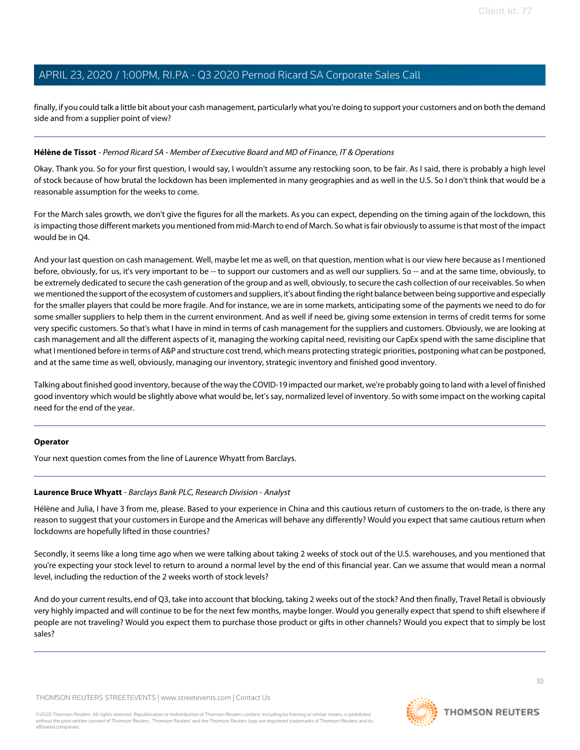finally, if you could talk a little bit about your cash management, particularly what you're doing to support your customers and on both the demand side and from a supplier point of view?

#### **Hélène de Tissot** - Pernod Ricard SA - Member of Executive Board and MD of Finance, IT & Operations

Okay. Thank you. So for your first question, I would say, I wouldn't assume any restocking soon, to be fair. As I said, there is probably a high level of stock because of how brutal the lockdown has been implemented in many geographies and as well in the U.S. So I don't think that would be a reasonable assumption for the weeks to come.

For the March sales growth, we don't give the figures for all the markets. As you can expect, depending on the timing again of the lockdown, this is impacting those different markets you mentioned from mid-March to end of March. So what is fair obviously to assume is that most of the impact would be in Q4.

And your last question on cash management. Well, maybe let me as well, on that question, mention what is our view here because as I mentioned before, obviously, for us, it's very important to be -- to support our customers and as well our suppliers. So -- and at the same time, obviously, to be extremely dedicated to secure the cash generation of the group and as well, obviously, to secure the cash collection of our receivables. So when we mentioned the support of the ecosystem of customers and suppliers, it's about finding the right balance between being supportive and especially for the smaller players that could be more fragile. And for instance, we are in some markets, anticipating some of the payments we need to do for some smaller suppliers to help them in the current environment. And as well if need be, giving some extension in terms of credit terms for some very specific customers. So that's what I have in mind in terms of cash management for the suppliers and customers. Obviously, we are looking at cash management and all the different aspects of it, managing the working capital need, revisiting our CapEx spend with the same discipline that what I mentioned before in terms of A&P and structure cost trend, which means protecting strategic priorities, postponing what can be postponed, and at the same time as well, obviously, managing our inventory, strategic inventory and finished good inventory.

Talking about finished good inventory, because of the way the COVID-19 impacted our market, we're probably going to land with a level of finished good inventory which would be slightly above what would be, let's say, normalized level of inventory. So with some impact on the working capital need for the end of the year.

#### <span id="page-9-0"></span>**Operator**

Your next question comes from the line of Laurence Whyatt from Barclays.

#### **Laurence Bruce Whyatt** - Barclays Bank PLC, Research Division - Analyst

Hélène and Julia, I have 3 from me, please. Based to your experience in China and this cautious return of customers to the on-trade, is there any reason to suggest that your customers in Europe and the Americas will behave any differently? Would you expect that same cautious return when lockdowns are hopefully lifted in those countries?

Secondly, it seems like a long time ago when we were talking about taking 2 weeks of stock out of the U.S. warehouses, and you mentioned that you're expecting your stock level to return to around a normal level by the end of this financial year. Can we assume that would mean a normal level, including the reduction of the 2 weeks worth of stock levels?

And do your current results, end of Q3, take into account that blocking, taking 2 weeks out of the stock? And then finally, Travel Retail is obviously very highly impacted and will continue to be for the next few months, maybe longer. Would you generally expect that spend to shift elsewhere if people are not traveling? Would you expect them to purchase those product or gifts in other channels? Would you expect that to simply be lost sales?

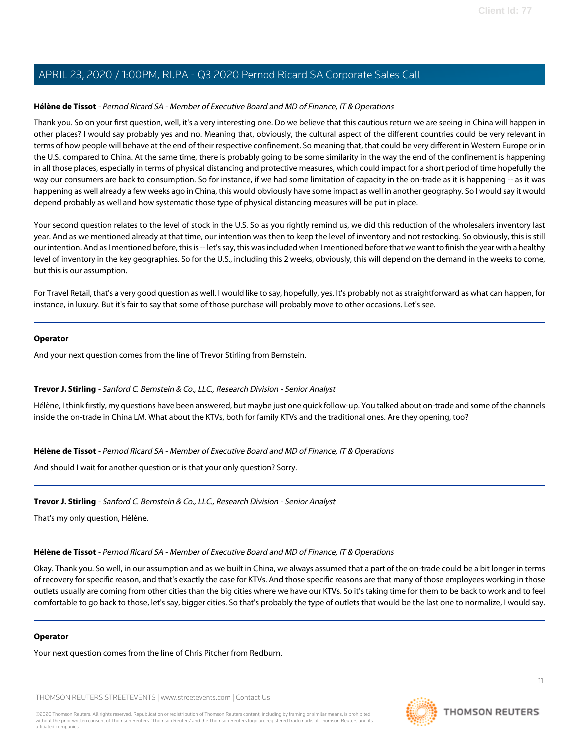#### **Hélène de Tissot** - Pernod Ricard SA - Member of Executive Board and MD of Finance, IT & Operations

Thank you. So on your first question, well, it's a very interesting one. Do we believe that this cautious return we are seeing in China will happen in other places? I would say probably yes and no. Meaning that, obviously, the cultural aspect of the different countries could be very relevant in terms of how people will behave at the end of their respective confinement. So meaning that, that could be very different in Western Europe or in the U.S. compared to China. At the same time, there is probably going to be some similarity in the way the end of the confinement is happening in all those places, especially in terms of physical distancing and protective measures, which could impact for a short period of time hopefully the way our consumers are back to consumption. So for instance, if we had some limitation of capacity in the on-trade as it is happening -- as it was happening as well already a few weeks ago in China, this would obviously have some impact as well in another geography. So I would say it would depend probably as well and how systematic those type of physical distancing measures will be put in place.

Your second question relates to the level of stock in the U.S. So as you rightly remind us, we did this reduction of the wholesalers inventory last year. And as we mentioned already at that time, our intention was then to keep the level of inventory and not restocking. So obviously, this is still our intention. And as I mentioned before, this is -- let's say, this was included when I mentioned before that we want to finish the year with a healthy level of inventory in the key geographies. So for the U.S., including this 2 weeks, obviously, this will depend on the demand in the weeks to come, but this is our assumption.

For Travel Retail, that's a very good question as well. I would like to say, hopefully, yes. It's probably not as straightforward as what can happen, for instance, in luxury. But it's fair to say that some of those purchase will probably move to other occasions. Let's see.

#### **Operator**

<span id="page-10-0"></span>And your next question comes from the line of Trevor Stirling from Bernstein.

#### **Trevor J. Stirling** - Sanford C. Bernstein & Co., LLC., Research Division - Senior Analyst

Hélène, I think firstly, my questions have been answered, but maybe just one quick follow-up. You talked about on-trade and some of the channels inside the on-trade in China LM. What about the KTVs, both for family KTVs and the traditional ones. Are they opening, too?

#### **Hélène de Tissot** - Pernod Ricard SA - Member of Executive Board and MD of Finance, IT & Operations

And should I wait for another question or is that your only question? Sorry.

#### **Trevor J. Stirling** - Sanford C. Bernstein & Co., LLC., Research Division - Senior Analyst

That's my only question, Hélène.

## **Hélène de Tissot** - Pernod Ricard SA - Member of Executive Board and MD of Finance, IT & Operations

Okay. Thank you. So well, in our assumption and as we built in China, we always assumed that a part of the on-trade could be a bit longer in terms of recovery for specific reason, and that's exactly the case for KTVs. And those specific reasons are that many of those employees working in those outlets usually are coming from other cities than the big cities where we have our KTVs. So it's taking time for them to be back to work and to feel comfortable to go back to those, let's say, bigger cities. So that's probably the type of outlets that would be the last one to normalize, I would say.

#### **Operator**

Your next question comes from the line of Chris Pitcher from Redburn.

THOMSON REUTERS STREETEVENTS | [www.streetevents.com](http://www.streetevents.com) | [Contact Us](http://www010.streetevents.com/contact.asp)

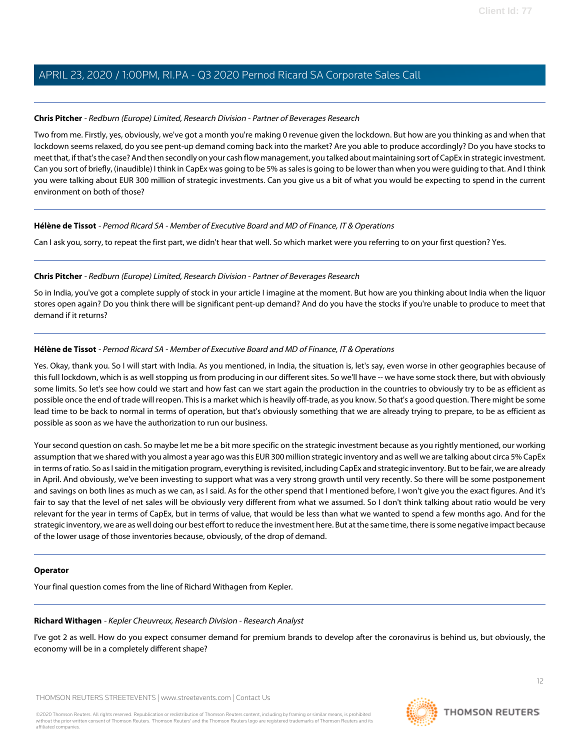### <span id="page-11-0"></span>**Chris Pitcher** - Redburn (Europe) Limited, Research Division - Partner of Beverages Research

Two from me. Firstly, yes, obviously, we've got a month you're making 0 revenue given the lockdown. But how are you thinking as and when that lockdown seems relaxed, do you see pent-up demand coming back into the market? Are you able to produce accordingly? Do you have stocks to meet that, if that's the case? And then secondly on your cash flow management, you talked about maintaining sort of CapEx in strategic investment. Can you sort of briefly, (inaudible) I think in CapEx was going to be 5% as sales is going to be lower than when you were guiding to that. And I think you were talking about EUR 300 million of strategic investments. Can you give us a bit of what you would be expecting to spend in the current environment on both of those?

#### **Hélène de Tissot** - Pernod Ricard SA - Member of Executive Board and MD of Finance, IT & Operations

Can I ask you, sorry, to repeat the first part, we didn't hear that well. So which market were you referring to on your first question? Yes.

#### **Chris Pitcher** - Redburn (Europe) Limited, Research Division - Partner of Beverages Research

So in India, you've got a complete supply of stock in your article I imagine at the moment. But how are you thinking about India when the liquor stores open again? Do you think there will be significant pent-up demand? And do you have the stocks if you're unable to produce to meet that demand if it returns?

### **Hélène de Tissot** - Pernod Ricard SA - Member of Executive Board and MD of Finance, IT & Operations

Yes. Okay, thank you. So I will start with India. As you mentioned, in India, the situation is, let's say, even worse in other geographies because of this full lockdown, which is as well stopping us from producing in our different sites. So we'll have -- we have some stock there, but with obviously some limits. So let's see how could we start and how fast can we start again the production in the countries to obviously try to be as efficient as possible once the end of trade will reopen. This is a market which is heavily off-trade, as you know. So that's a good question. There might be some lead time to be back to normal in terms of operation, but that's obviously something that we are already trying to prepare, to be as efficient as possible as soon as we have the authorization to run our business.

Your second question on cash. So maybe let me be a bit more specific on the strategic investment because as you rightly mentioned, our working assumption that we shared with you almost a year ago was this EUR 300 million strategic inventory and as well we are talking about circa 5% CapEx in terms of ratio. So as I said in the mitigation program, everything is revisited, including CapEx and strategic inventory. But to be fair, we are already in April. And obviously, we've been investing to support what was a very strong growth until very recently. So there will be some postponement and savings on both lines as much as we can, as I said. As for the other spend that I mentioned before, I won't give you the exact figures. And it's fair to say that the level of net sales will be obviously very different from what we assumed. So I don't think talking about ratio would be very relevant for the year in terms of CapEx, but in terms of value, that would be less than what we wanted to spend a few months ago. And for the strategic inventory, we are as well doing our best effort to reduce the investment here. But at the same time, there is some negative impact because of the lower usage of those inventories because, obviously, of the drop of demand.

#### <span id="page-11-1"></span>**Operator**

Your final question comes from the line of Richard Withagen from Kepler.

#### **Richard Withagen** - Kepler Cheuvreux, Research Division - Research Analyst

I've got 2 as well. How do you expect consumer demand for premium brands to develop after the coronavirus is behind us, but obviously, the economy will be in a completely different shape?

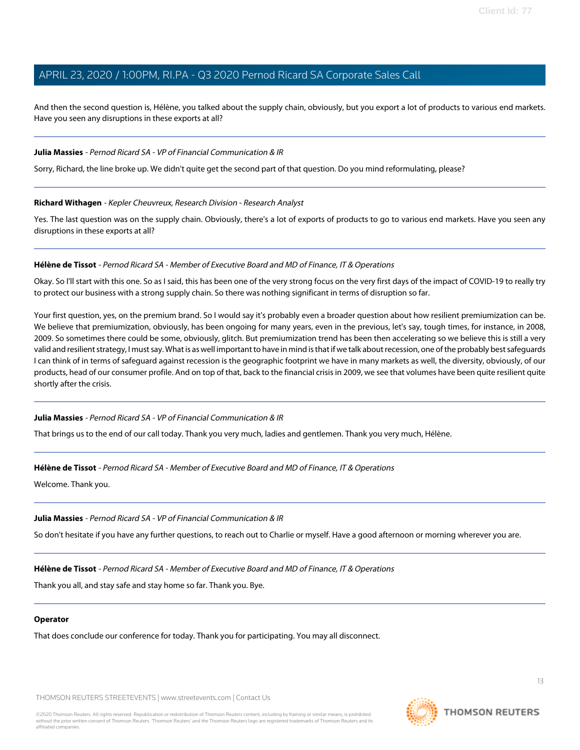And then the second question is, Hélène, you talked about the supply chain, obviously, but you export a lot of products to various end markets. Have you seen any disruptions in these exports at all?

#### **Julia Massies** - Pernod Ricard SA - VP of Financial Communication & IR

Sorry, Richard, the line broke up. We didn't quite get the second part of that question. Do you mind reformulating, please?

#### **Richard Withagen** - Kepler Cheuvreux, Research Division - Research Analyst

Yes. The last question was on the supply chain. Obviously, there's a lot of exports of products to go to various end markets. Have you seen any disruptions in these exports at all?

#### **Hélène de Tissot** - Pernod Ricard SA - Member of Executive Board and MD of Finance, IT & Operations

Okay. So I'll start with this one. So as I said, this has been one of the very strong focus on the very first days of the impact of COVID-19 to really try to protect our business with a strong supply chain. So there was nothing significant in terms of disruption so far.

Your first question, yes, on the premium brand. So I would say it's probably even a broader question about how resilient premiumization can be. We believe that premiumization, obviously, has been ongoing for many years, even in the previous, let's say, tough times, for instance, in 2008, 2009. So sometimes there could be some, obviously, glitch. But premiumization trend has been then accelerating so we believe this is still a very valid and resilient strategy, I must say. What is as well important to have in mind is that if we talk about recession, one of the probably best safeguards I can think of in terms of safeguard against recession is the geographic footprint we have in many markets as well, the diversity, obviously, of our products, head of our consumer profile. And on top of that, back to the financial crisis in 2009, we see that volumes have been quite resilient quite shortly after the crisis.

#### **Julia Massies** - Pernod Ricard SA - VP of Financial Communication & IR

That brings us to the end of our call today. Thank you very much, ladies and gentlemen. Thank you very much, Hélène.

#### **Hélène de Tissot** - Pernod Ricard SA - Member of Executive Board and MD of Finance, IT & Operations

Welcome. Thank you.

#### **Julia Massies** - Pernod Ricard SA - VP of Financial Communication & IR

So don't hesitate if you have any further questions, to reach out to Charlie or myself. Have a good afternoon or morning wherever you are.

#### **Hélène de Tissot** - Pernod Ricard SA - Member of Executive Board and MD of Finance, IT & Operations

Thank you all, and stay safe and stay home so far. Thank you. Bye.

#### **Operator**

That does conclude our conference for today. Thank you for participating. You may all disconnect.